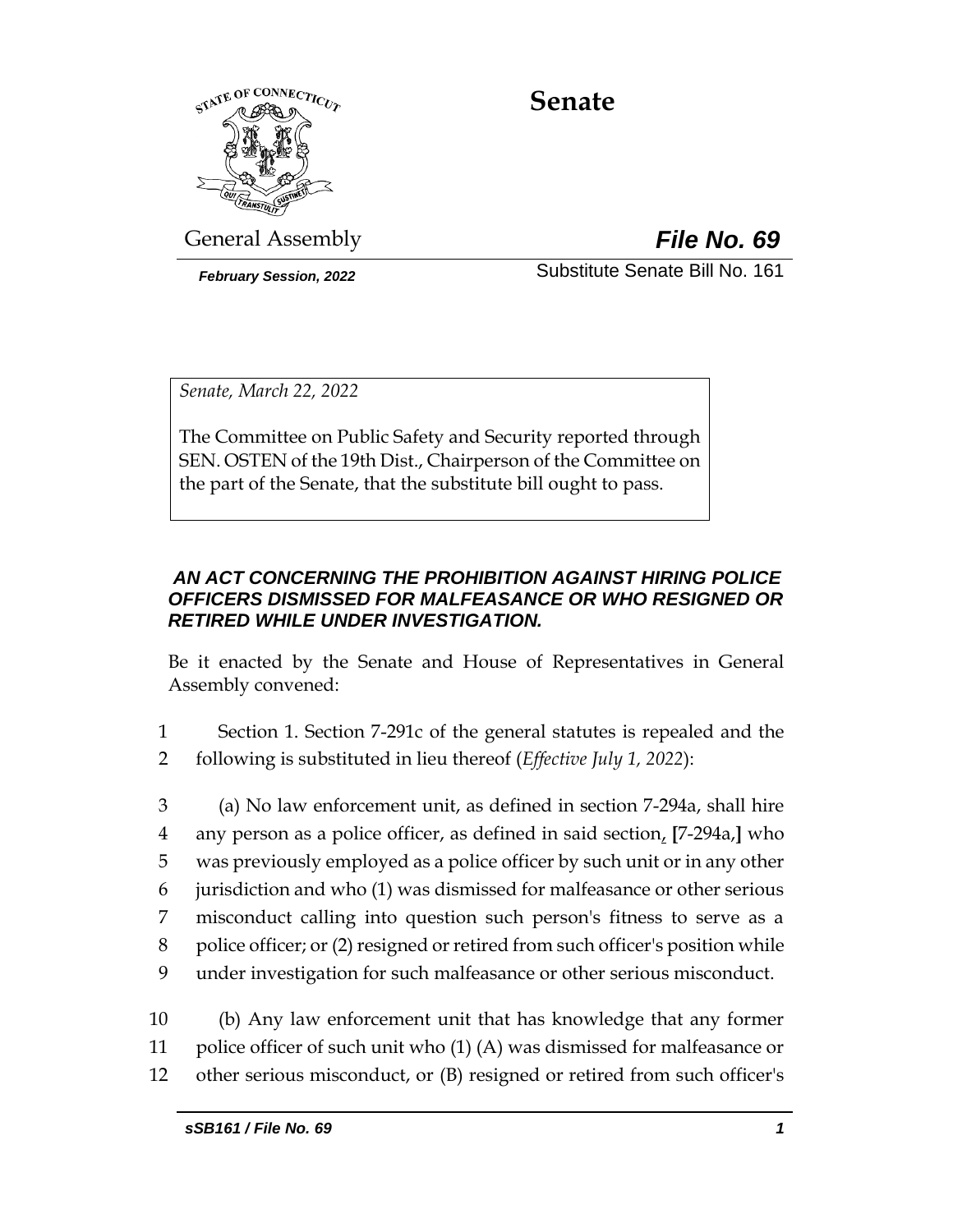

# **Senate**

General Assembly *File No. 69*

*February Session, 2022* Substitute Senate Bill No. 161

*Senate, March 22, 2022*

The Committee on Public Safety and Security reported through SEN. OSTEN of the 19th Dist., Chairperson of the Committee on the part of the Senate, that the substitute bill ought to pass.

# *AN ACT CONCERNING THE PROHIBITION AGAINST HIRING POLICE OFFICERS DISMISSED FOR MALFEASANCE OR WHO RESIGNED OR RETIRED WHILE UNDER INVESTIGATION.*

Be it enacted by the Senate and House of Representatives in General Assembly convened:

- 1 Section 1. Section 7-291c of the general statutes is repealed and the 2 following is substituted in lieu thereof (*Effective July 1, 2022*):
- 3 (a) No law enforcement unit, as defined in section 7-294a, shall hire 4 any person as a police officer, as defined in said section, **[**7-294a,**]** who 5 was previously employed as a police officer by such unit or in any other 6 jurisdiction and who (1) was dismissed for malfeasance or other serious 7 misconduct calling into question such person's fitness to serve as a 8 police officer; or (2) resigned or retired from such officer's position while 9 under investigation for such malfeasance or other serious misconduct.
- 10 (b) Any law enforcement unit that has knowledge that any former 11 police officer of such unit who (1) (A) was dismissed for malfeasance or 12 other serious misconduct, or (B) resigned or retired from such officer's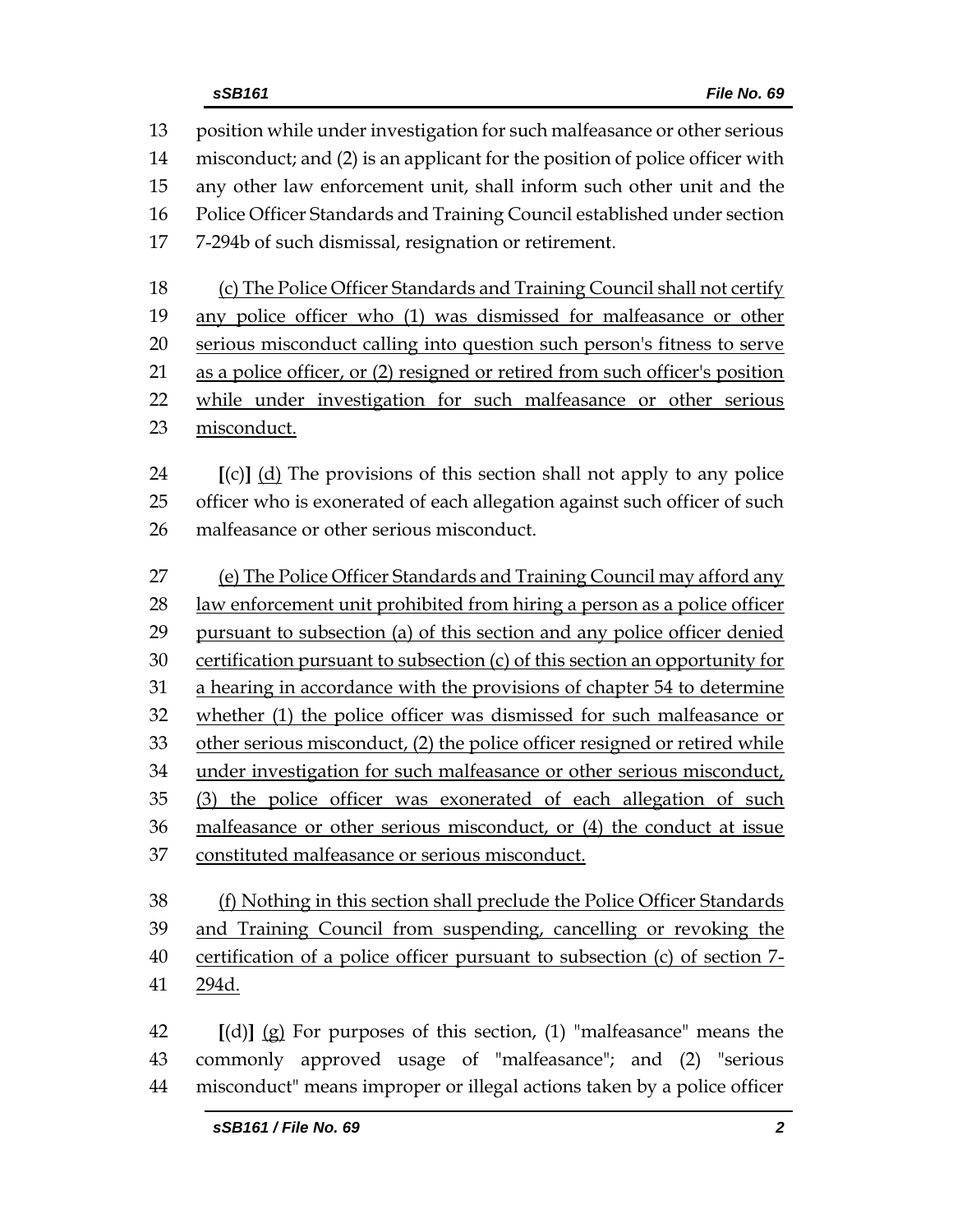position while under investigation for such malfeasance or other serious misconduct; and (2) is an applicant for the position of police officer with any other law enforcement unit, shall inform such other unit and the Police Officer Standards and Training Council established under section 7-294b of such dismissal, resignation or retirement. (c) The Police Officer Standards and Training Council shall not certify any police officer who (1) was dismissed for malfeasance or other serious misconduct calling into question such person's fitness to serve as a police officer, or (2) resigned or retired from such officer's position while under investigation for such malfeasance or other serious misconduct. **[**(c)**]** (d) The provisions of this section shall not apply to any police officer who is exonerated of each allegation against such officer of such malfeasance or other serious misconduct. (e) The Police Officer Standards and Training Council may afford any 28 law enforcement unit prohibited from hiring a person as a police officer pursuant to subsection (a) of this section and any police officer denied certification pursuant to subsection (c) of this section an opportunity for a hearing in accordance with the provisions of chapter 54 to determine whether (1) the police officer was dismissed for such malfeasance or other serious misconduct, (2) the police officer resigned or retired while under investigation for such malfeasance or other serious misconduct, (3) the police officer was exonerated of each allegation of such malfeasance or other serious misconduct, or (4) the conduct at issue constituted malfeasance or serious misconduct.

 (f) Nothing in this section shall preclude the Police Officer Standards and Training Council from suspending, cancelling or revoking the certification of a police officer pursuant to subsection (c) of section 7- 294d.

 **[**(d)**]** (g) For purposes of this section, (1) "malfeasance" means the commonly approved usage of "malfeasance"; and (2) "serious misconduct" means improper or illegal actions taken by a police officer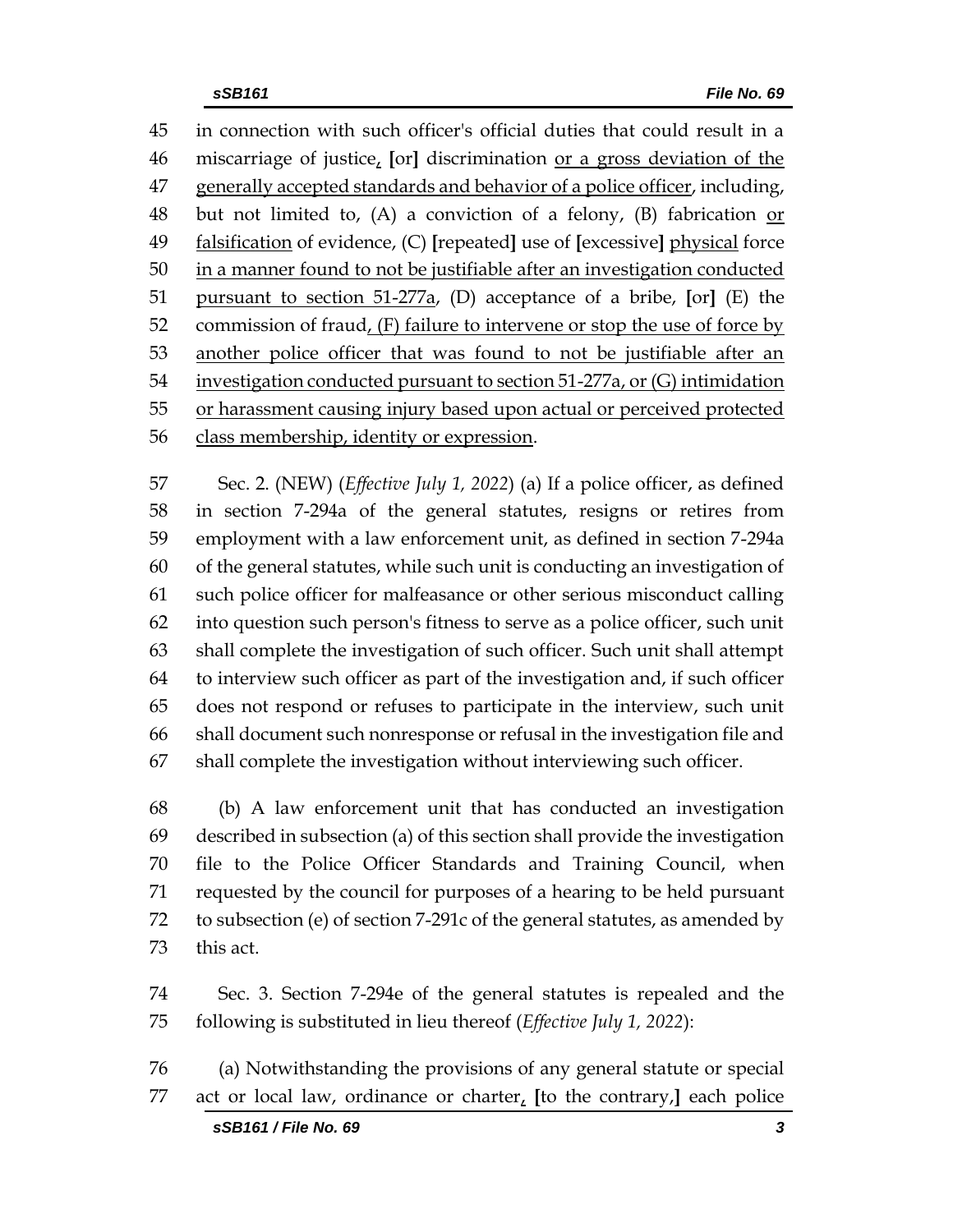in connection with such officer's official duties that could result in a miscarriage of justice, **[**or**]** discrimination or a gross deviation of the 47 generally accepted standards and behavior of a police officer, including, but not limited to, (A) a conviction of a felony, (B) fabrication or falsification of evidence, (C) **[**repeated**]** use of **[**excessive**]** physical force in a manner found to not be justifiable after an investigation conducted pursuant to section 51-277a, (D) acceptance of a bribe, **[**or**]** (E) the commission of fraud, (F) failure to intervene or stop the use of force by 53 another police officer that was found to not be justifiable after an investigation conducted pursuant to section 51-277a, or (G) intimidation 55 or harassment causing injury based upon actual or perceived protected class membership, identity or expression.

 Sec. 2. (NEW) (*Effective July 1, 2022*) (a) If a police officer, as defined in section 7-294a of the general statutes, resigns or retires from employment with a law enforcement unit, as defined in section 7-294a of the general statutes, while such unit is conducting an investigation of such police officer for malfeasance or other serious misconduct calling into question such person's fitness to serve as a police officer, such unit shall complete the investigation of such officer. Such unit shall attempt to interview such officer as part of the investigation and, if such officer does not respond or refuses to participate in the interview, such unit shall document such nonresponse or refusal in the investigation file and shall complete the investigation without interviewing such officer.

 (b) A law enforcement unit that has conducted an investigation described in subsection (a) of this section shall provide the investigation file to the Police Officer Standards and Training Council, when requested by the council for purposes of a hearing to be held pursuant to subsection (e) of section 7-291c of the general statutes, as amended by this act.

 Sec. 3. Section 7-294e of the general statutes is repealed and the following is substituted in lieu thereof (*Effective July 1, 2022*):

 (a) Notwithstanding the provisions of any general statute or special act or local law, ordinance or charter, **[**to the contrary,**]** each police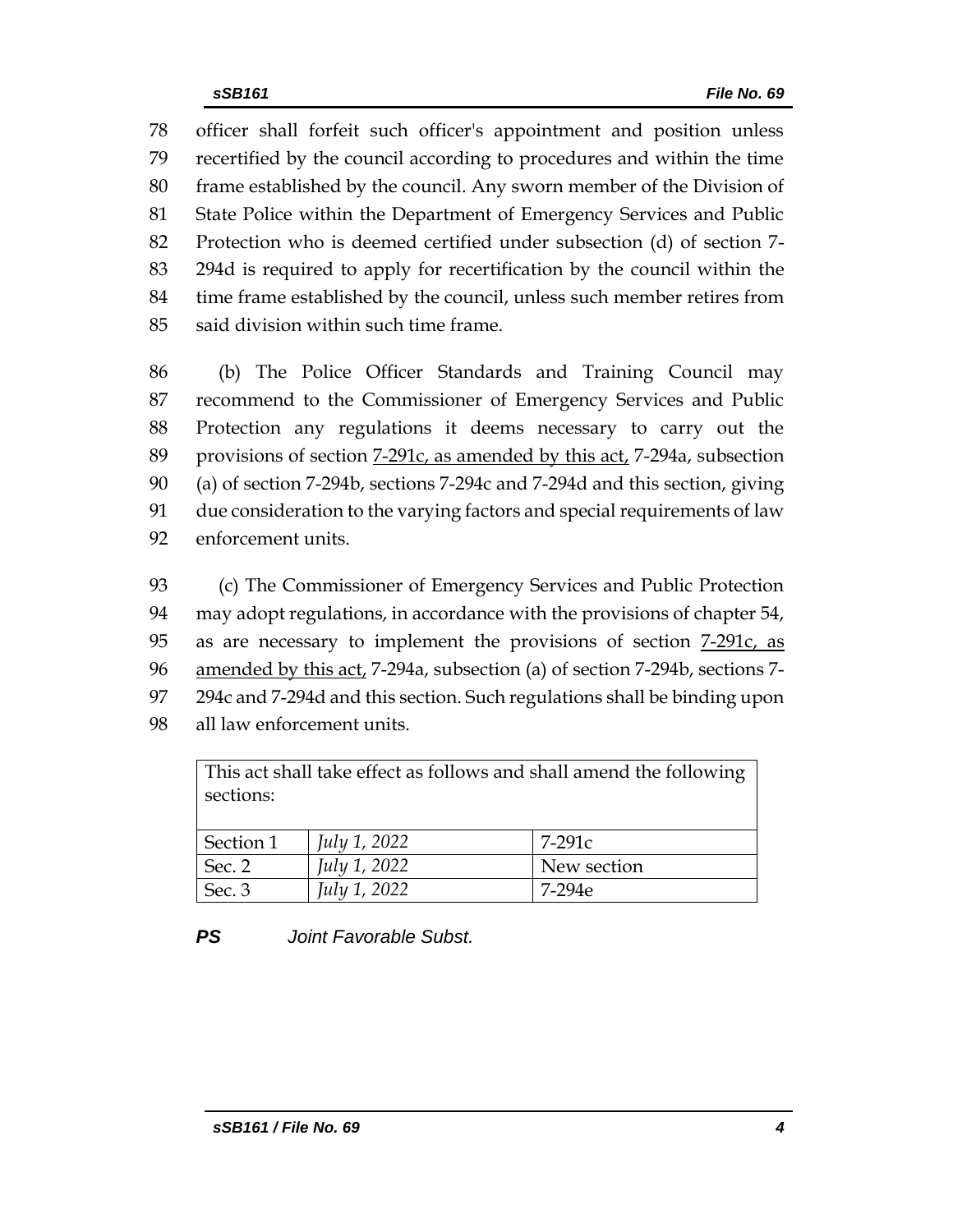officer shall forfeit such officer's appointment and position unless recertified by the council according to procedures and within the time frame established by the council. Any sworn member of the Division of State Police within the Department of Emergency Services and Public Protection who is deemed certified under subsection (d) of section 7- 294d is required to apply for recertification by the council within the time frame established by the council, unless such member retires from said division within such time frame.

 (b) The Police Officer Standards and Training Council may recommend to the Commissioner of Emergency Services and Public Protection any regulations it deems necessary to carry out the provisions of section 7-291c, as amended by this act, 7-294a, subsection (a) of section 7-294b, sections 7-294c and 7-294d and this section, giving due consideration to the varying factors and special requirements of law enforcement units.

 (c) The Commissioner of Emergency Services and Public Protection may adopt regulations, in accordance with the provisions of chapter 54, as are necessary to implement the provisions of section 7-291c, as amended by this act, 7-294a, subsection (a) of section 7-294b, sections 7- 294c and 7-294d and this section. Such regulations shall be binding upon all law enforcement units.

This act shall take effect as follows and shall amend the following sections:

| Section 1 | July 1, 2022 | $7-291c$    |
|-----------|--------------|-------------|
| Sec. 2    | July 1, 2022 | New section |
| Sec. 3    | July 1, 2022 | 7-294e      |

# *PS Joint Favorable Subst.*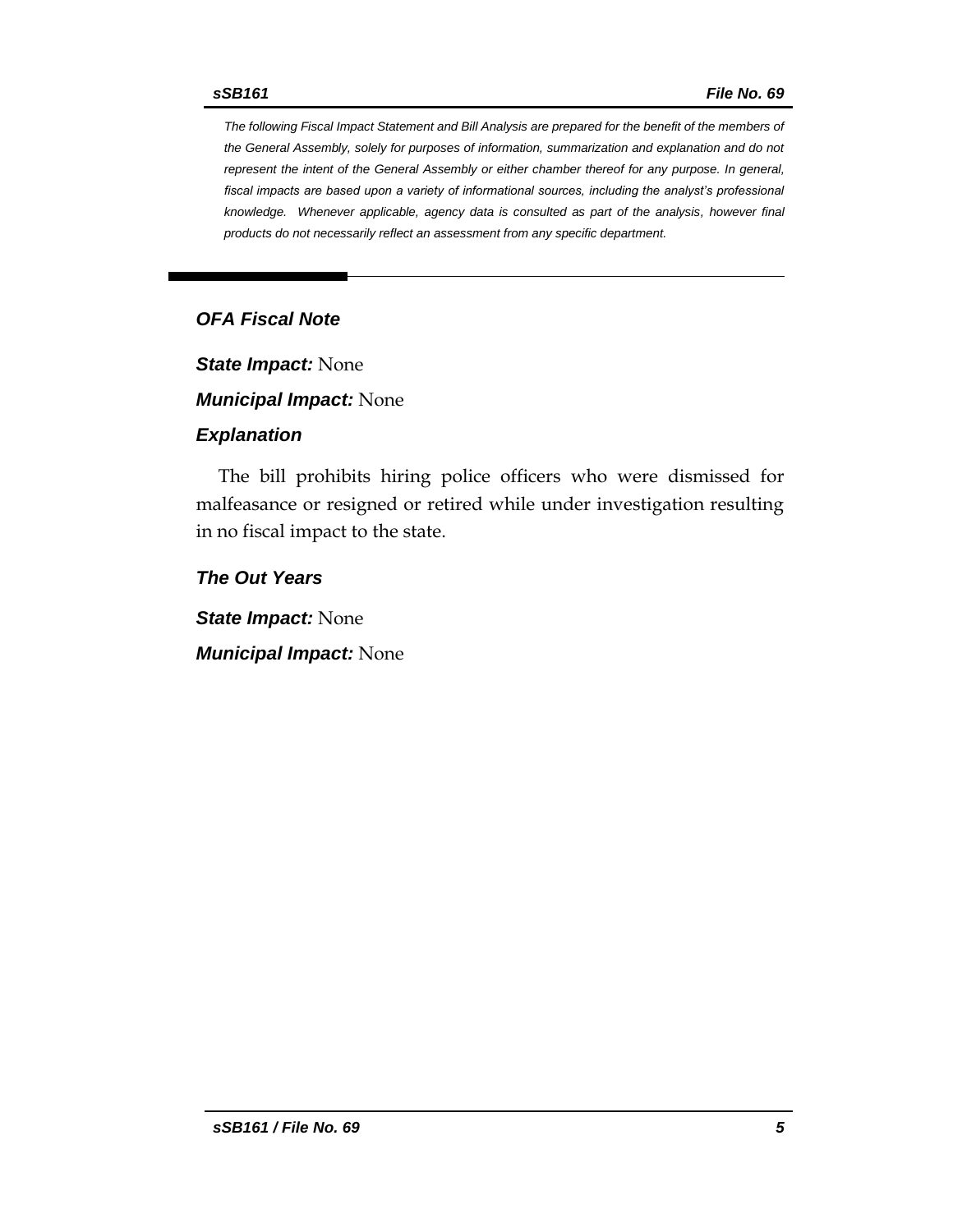*The following Fiscal Impact Statement and Bill Analysis are prepared for the benefit of the members of the General Assembly, solely for purposes of information, summarization and explanation and do not represent the intent of the General Assembly or either chamber thereof for any purpose. In general, fiscal impacts are based upon a variety of informational sources, including the analyst's professional knowledge. Whenever applicable, agency data is consulted as part of the analysis, however final products do not necessarily reflect an assessment from any specific department.*

#### *OFA Fiscal Note*

*State Impact:* None

*Municipal Impact:* None

#### *Explanation*

The bill prohibits hiring police officers who were dismissed for malfeasance or resigned or retired while under investigation resulting in no fiscal impact to the state.

*The Out Years*

*State Impact:* None

*Municipal Impact:* None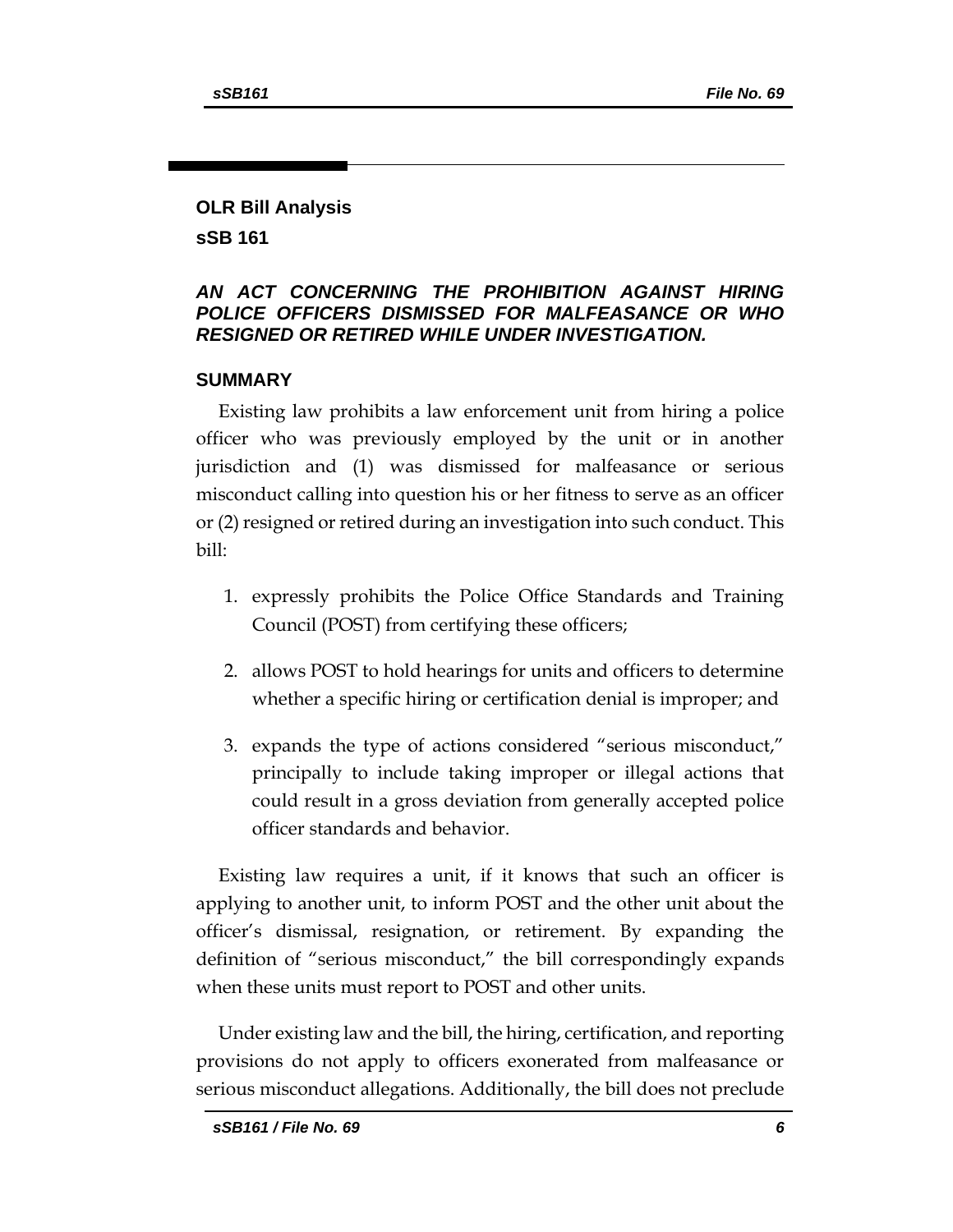# **OLR Bill Analysis sSB 161**

# *AN ACT CONCERNING THE PROHIBITION AGAINST HIRING POLICE OFFICERS DISMISSED FOR MALFEASANCE OR WHO RESIGNED OR RETIRED WHILE UNDER INVESTIGATION.*

#### **SUMMARY**

Existing law prohibits a law enforcement unit from hiring a police officer who was previously employed by the unit or in another jurisdiction and (1) was dismissed for malfeasance or serious misconduct calling into question his or her fitness to serve as an officer or (2) resigned or retired during an investigation into such conduct. This bill:

- 1. expressly prohibits the Police Office Standards and Training Council (POST) from certifying these officers;
- 2. allows POST to hold hearings for units and officers to determine whether a specific hiring or certification denial is improper; and
- 3. expands the type of actions considered "serious misconduct," principally to include taking improper or illegal actions that could result in a gross deviation from generally accepted police officer standards and behavior.

Existing law requires a unit, if it knows that such an officer is applying to another unit, to inform POST and the other unit about the officer's dismissal, resignation, or retirement. By expanding the definition of "serious misconduct," the bill correspondingly expands when these units must report to POST and other units.

Under existing law and the bill, the hiring, certification, and reporting provisions do not apply to officers exonerated from malfeasance or serious misconduct allegations. Additionally, the bill does not preclude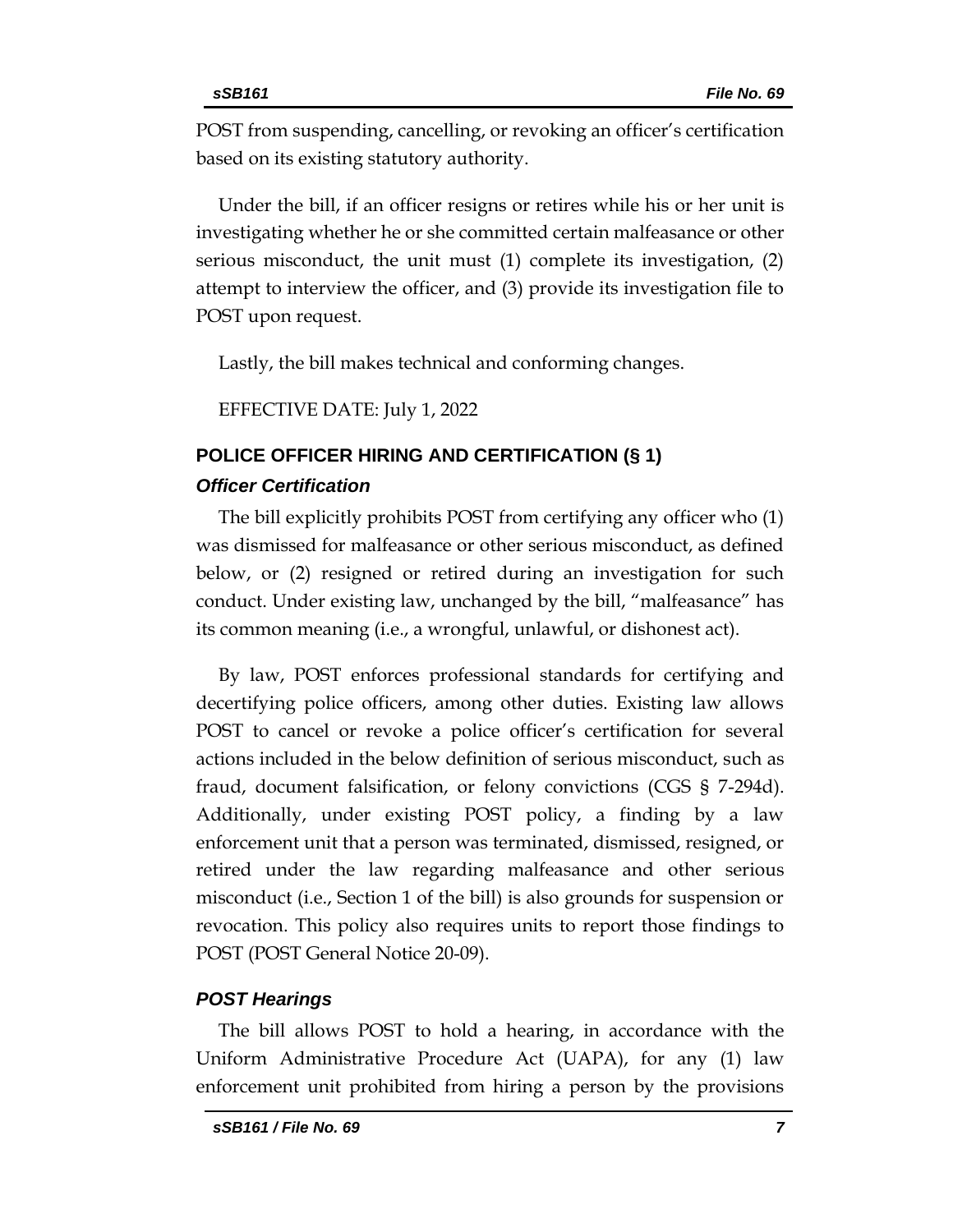POST from suspending, cancelling, or revoking an officer's certification based on its existing statutory authority.

Under the bill, if an officer resigns or retires while his or her unit is investigating whether he or she committed certain malfeasance or other serious misconduct, the unit must (1) complete its investigation, (2) attempt to interview the officer, and (3) provide its investigation file to POST upon request.

Lastly, the bill makes technical and conforming changes.

EFFECTIVE DATE: July 1, 2022

# **POLICE OFFICER HIRING AND CERTIFICATION (§ 1)**

### *Officer Certification*

The bill explicitly prohibits POST from certifying any officer who (1) was dismissed for malfeasance or other serious misconduct, as defined below, or (2) resigned or retired during an investigation for such conduct. Under existing law, unchanged by the bill, "malfeasance" has its common meaning (i.e., a wrongful, unlawful, or dishonest act).

By law, POST enforces professional standards for certifying and decertifying police officers, among other duties. Existing law allows POST to cancel or revoke a police officer's certification for several actions included in the below definition of serious misconduct, such as fraud, document falsification, or felony convictions (CGS § 7-294d). Additionally, under existing POST policy, a finding by a law enforcement unit that a person was terminated, dismissed, resigned, or retired under the law regarding malfeasance and other serious misconduct (i.e., Section 1 of the bill) is also grounds for suspension or revocation. This policy also requires units to report those findings to POST (POST General Notice 20-09).

# *POST Hearings*

The bill allows POST to hold a hearing, in accordance with the Uniform Administrative Procedure Act (UAPA), for any (1) law enforcement unit prohibited from hiring a person by the provisions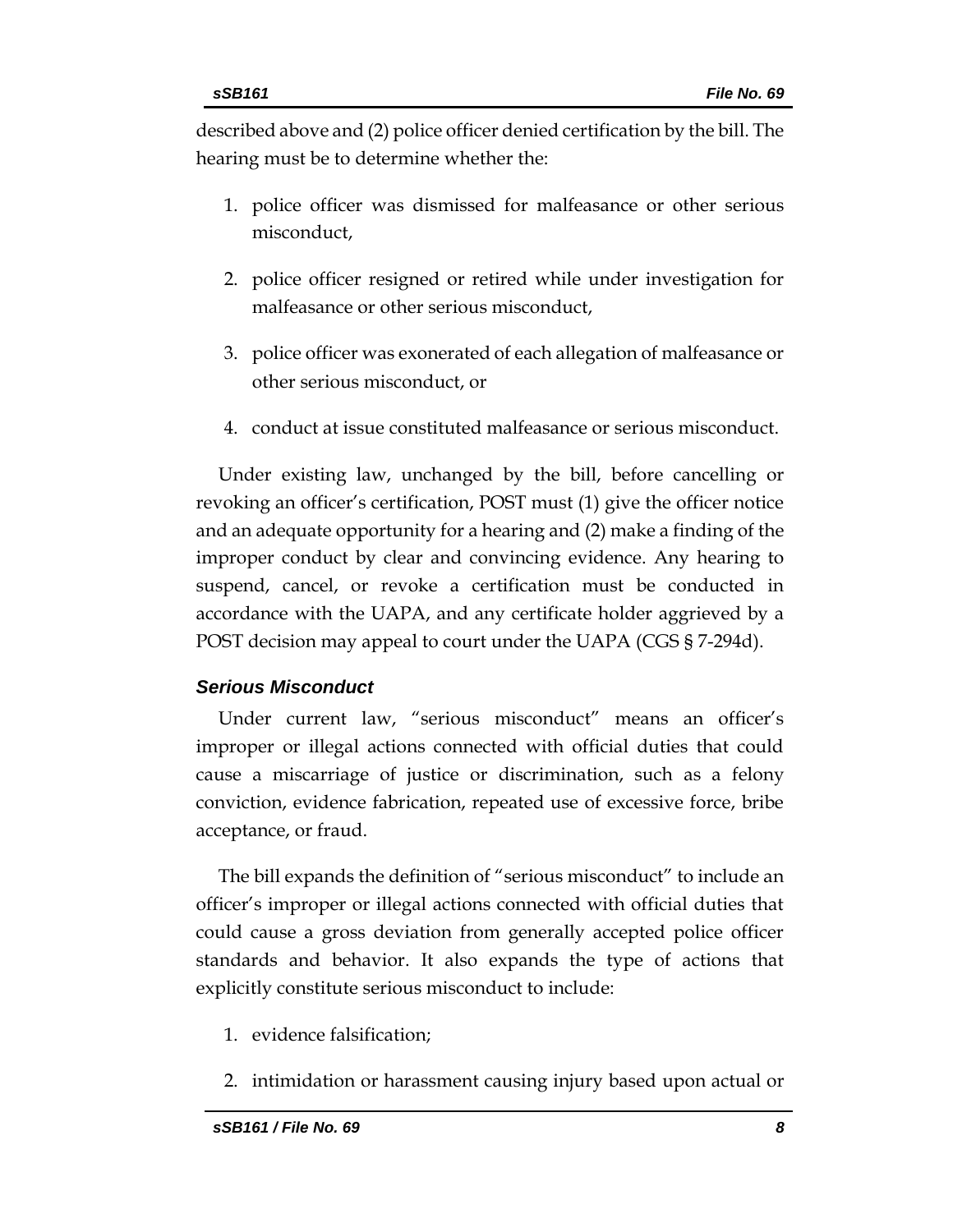described above and (2) police officer denied certification by the bill. The hearing must be to determine whether the:

- 1. police officer was dismissed for malfeasance or other serious misconduct,
- 2. police officer resigned or retired while under investigation for malfeasance or other serious misconduct,
- 3. police officer was exonerated of each allegation of malfeasance or other serious misconduct, or
- 4. conduct at issue constituted malfeasance or serious misconduct.

Under existing law, unchanged by the bill, before cancelling or revoking an officer's certification, POST must (1) give the officer notice and an adequate opportunity for a hearing and (2) make a finding of the improper conduct by clear and convincing evidence. Any hearing to suspend, cancel, or revoke a certification must be conducted in accordance with the UAPA, and any certificate holder aggrieved by a POST decision may appeal to court under the UAPA (CGS § 7-294d).

#### *Serious Misconduct*

Under current law, "serious misconduct" means an officer's improper or illegal actions connected with official duties that could cause a miscarriage of justice or discrimination, such as a felony conviction, evidence fabrication, repeated use of excessive force, bribe acceptance, or fraud.

The bill expands the definition of "serious misconduct" to include an officer's improper or illegal actions connected with official duties that could cause a gross deviation from generally accepted police officer standards and behavior. It also expands the type of actions that explicitly constitute serious misconduct to include:

- 1. evidence falsification;
- 2. intimidation or harassment causing injury based upon actual or